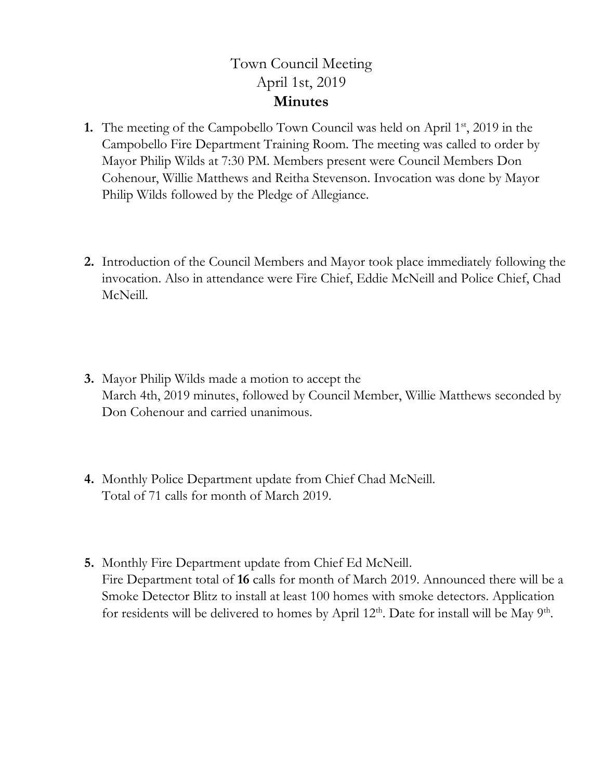## Town Council Meeting April 1st, 2019 **Minutes**

- **1.** The meeting of the Campobello Town Council was held on April 1st, 2019 in the Campobello Fire Department Training Room. The meeting was called to order by Mayor Philip Wilds at 7:30 PM. Members present were Council Members Don Cohenour, Willie Matthews and Reitha Stevenson. Invocation was done by Mayor Philip Wilds followed by the Pledge of Allegiance.
- **2.** Introduction of the Council Members and Mayor took place immediately following the invocation. Also in attendance were Fire Chief, Eddie McNeill and Police Chief, Chad McNeill.
- **3.** Mayor Philip Wilds made a motion to accept the March 4th, 2019 minutes, followed by Council Member, Willie Matthews seconded by Don Cohenour and carried unanimous.
- **4.** Monthly Police Department update from Chief Chad McNeill. Total of 71 calls for month of March 2019.
- **5.** Monthly Fire Department update from Chief Ed McNeill. Fire Department total of **16** calls for month of March 2019. Announced there will be a Smoke Detector Blitz to install at least 100 homes with smoke detectors. Application for residents will be delivered to homes by April  $12<sup>th</sup>$ . Date for install will be May 9<sup>th</sup>.